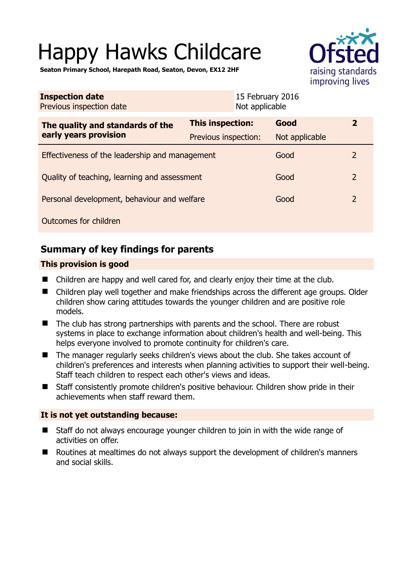# Happy Hawks Childcare



**Seaton Primary School, Harepath Road, Seaton, Devon, EX12 2HF** 

| <b>Inspection date</b><br>Previous inspection date        |                         | 15 February 2016<br>Not applicable |                |               |
|-----------------------------------------------------------|-------------------------|------------------------------------|----------------|---------------|
| The quality and standards of the<br>early years provision | <b>This inspection:</b> |                                    | Good           | 2             |
|                                                           | Previous inspection:    |                                    | Not applicable |               |
| Effectiveness of the leadership and management            |                         |                                    | Good           | $\mathcal{L}$ |
| Quality of teaching, learning and assessment              |                         |                                    | Good           | 2             |
| Personal development, behaviour and welfare               |                         |                                    | Good           | 2             |
| Outcomes for children                                     |                         |                                    |                |               |

# **Summary of key findings for parents**

## **This provision is good**

- Children are happy and well cared for, and clearly enjoy their time at the club.
- Children play well together and make friendships across the different age groups. Older children show caring attitudes towards the younger children and are positive role models.
- The club has strong partnerships with parents and the school. There are robust systems in place to exchange information about children's health and well-being. This helps everyone involved to promote continuity for children's care.
- The manager regularly seeks children's views about the club. She takes account of children's preferences and interests when planning activities to support their well-being. Staff teach children to respect each other's views and ideas.
- Staff consistently promote children's positive behaviour. Children show pride in their achievements when staff reward them.

## **It is not yet outstanding because:**

- Staff do not always encourage younger children to join in with the wide range of activities on offer.
- Routines at mealtimes do not always support the development of children's manners and social skills.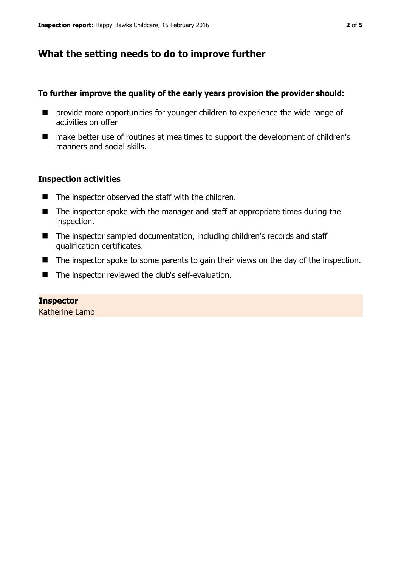# **What the setting needs to do to improve further**

### **To further improve the quality of the early years provision the provider should:**

- **P** provide more opportunities for younger children to experience the wide range of activities on offer
- make better use of routines at mealtimes to support the development of children's manners and social skills.

#### **Inspection activities**

- $\blacksquare$  The inspector observed the staff with the children.
- $\blacksquare$  The inspector spoke with the manager and staff at appropriate times during the inspection.
- The inspector sampled documentation, including children's records and staff qualification certificates.
- The inspector spoke to some parents to gain their views on the day of the inspection.
- The inspector reviewed the club's self-evaluation.

#### **Inspector**  Katherine Lamb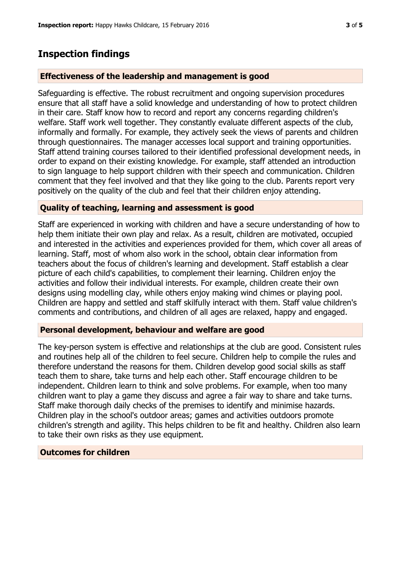## **Inspection findings**

#### **Effectiveness of the leadership and management is good**

Safeguarding is effective. The robust recruitment and ongoing supervision procedures ensure that all staff have a solid knowledge and understanding of how to protect children in their care. Staff know how to record and report any concerns regarding children's welfare. Staff work well together. They constantly evaluate different aspects of the club, informally and formally. For example, they actively seek the views of parents and children through questionnaires. The manager accesses local support and training opportunities. Staff attend training courses tailored to their identified professional development needs, in order to expand on their existing knowledge. For example, staff attended an introduction to sign language to help support children with their speech and communication. Children comment that they feel involved and that they like going to the club. Parents report very positively on the quality of the club and feel that their children enjoy attending.

#### **Quality of teaching, learning and assessment is good**

Staff are experienced in working with children and have a secure understanding of how to help them initiate their own play and relax. As a result, children are motivated, occupied and interested in the activities and experiences provided for them, which cover all areas of learning. Staff, most of whom also work in the school, obtain clear information from teachers about the focus of children's learning and development. Staff establish a clear picture of each child's capabilities, to complement their learning. Children enjoy the activities and follow their individual interests. For example, children create their own designs using modelling clay, while others enjoy making wind chimes or playing pool. Children are happy and settled and staff skilfully interact with them. Staff value children's comments and contributions, and children of all ages are relaxed, happy and engaged.

#### **Personal development, behaviour and welfare are good**

The key-person system is effective and relationships at the club are good. Consistent rules and routines help all of the children to feel secure. Children help to compile the rules and therefore understand the reasons for them. Children develop good social skills as staff teach them to share, take turns and help each other. Staff encourage children to be independent. Children learn to think and solve problems. For example, when too many children want to play a game they discuss and agree a fair way to share and take turns. Staff make thorough daily checks of the premises to identify and minimise hazards. Children play in the school's outdoor areas; games and activities outdoors promote children's strength and agility. This helps children to be fit and healthy. Children also learn to take their own risks as they use equipment.

#### **Outcomes for children**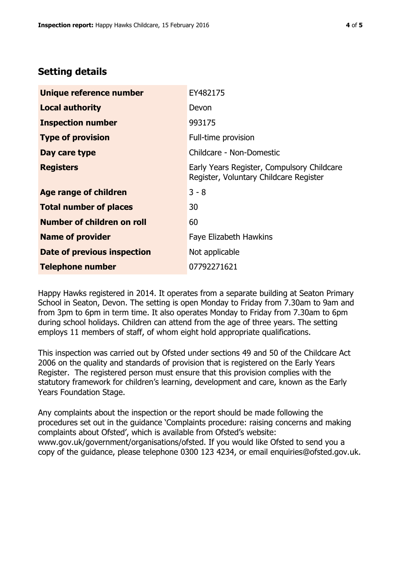# **Setting details**

| Unique reference number       | EY482175                                                                             |  |
|-------------------------------|--------------------------------------------------------------------------------------|--|
| <b>Local authority</b>        | Devon                                                                                |  |
| <b>Inspection number</b>      | 993175                                                                               |  |
| <b>Type of provision</b>      | Full-time provision                                                                  |  |
| Day care type                 | Childcare - Non-Domestic                                                             |  |
| <b>Registers</b>              | Early Years Register, Compulsory Childcare<br>Register, Voluntary Childcare Register |  |
| <b>Age range of children</b>  | $3 - 8$                                                                              |  |
| <b>Total number of places</b> | 30                                                                                   |  |
| Number of children on roll    | 60                                                                                   |  |
| <b>Name of provider</b>       | <b>Faye Elizabeth Hawkins</b>                                                        |  |
| Date of previous inspection   | Not applicable                                                                       |  |
| <b>Telephone number</b>       | 07792271621                                                                          |  |

Happy Hawks registered in 2014. It operates from a separate building at Seaton Primary School in Seaton, Devon. The setting is open Monday to Friday from 7.30am to 9am and from 3pm to 6pm in term time. It also operates Monday to Friday from 7.30am to 6pm during school holidays. Children can attend from the age of three years. The setting employs 11 members of staff, of whom eight hold appropriate qualifications.

This inspection was carried out by Ofsted under sections 49 and 50 of the Childcare Act 2006 on the quality and standards of provision that is registered on the Early Years Register. The registered person must ensure that this provision complies with the statutory framework for children's learning, development and care, known as the Early Years Foundation Stage.

Any complaints about the inspection or the report should be made following the procedures set out in the guidance 'Complaints procedure: raising concerns and making complaints about Ofsted', which is available from Ofsted's website: www.gov.uk/government/organisations/ofsted. If you would like Ofsted to send you a copy of the guidance, please telephone 0300 123 4234, or email enquiries@ofsted.gov.uk.